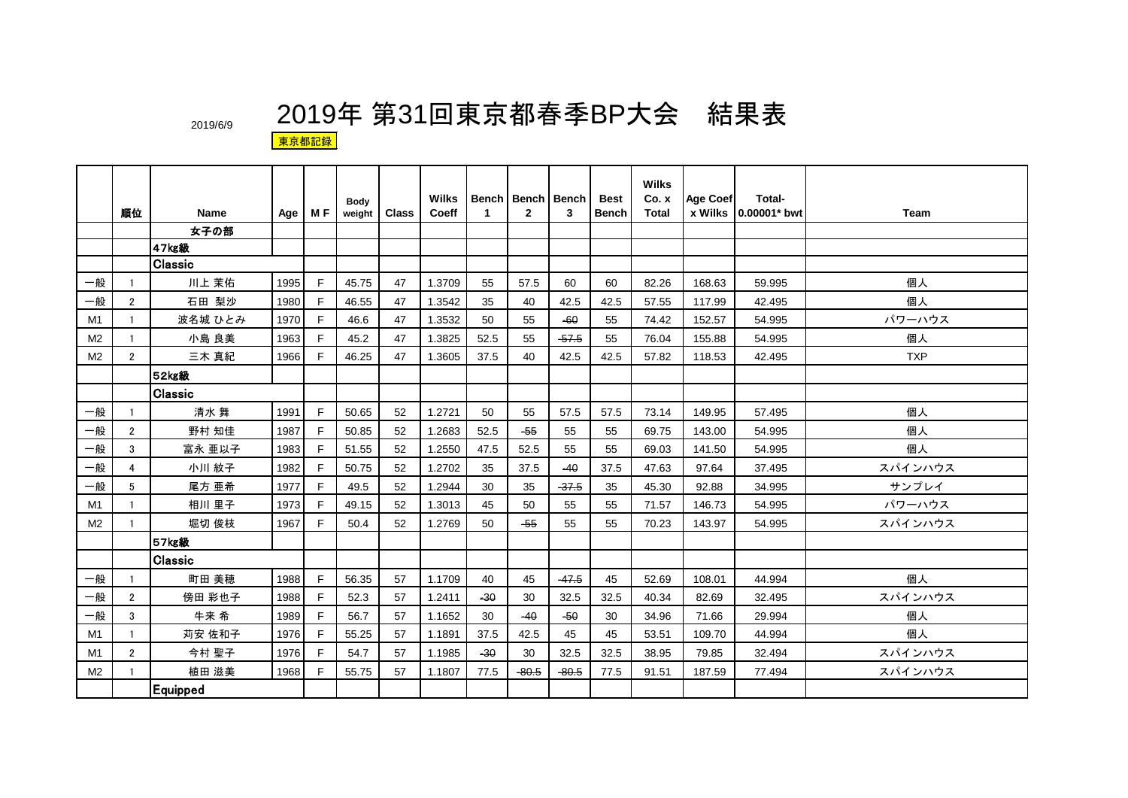|                |                |                |      |     |                       |              | Wilks  |                                                                 | Bench   Bench   Bench |         | <b>Best</b>  | <b>Wilks</b><br>Co. x | Age Coef | <b>Total-</b>         |             |
|----------------|----------------|----------------|------|-----|-----------------------|--------------|--------|-----------------------------------------------------------------|-----------------------|---------|--------------|-----------------------|----------|-----------------------|-------------|
|                | 順位             | <b>Name</b>    | Age  | M F | <b>Body</b><br>weight | <b>Class</b> | Coeff  | $\mathbf{1}$                                                    | $\mathbf{2}$          | 3       | <b>Bench</b> | Total                 |          | x Wilks 10.00001* bwt | <b>Team</b> |
|                |                | 女子の部           |      |     |                       |              |        |                                                                 |                       |         |              |                       |          |                       |             |
|                |                | 47kg級          |      |     |                       |              |        |                                                                 |                       |         |              |                       |          |                       |             |
|                |                | <b>Classic</b> |      |     |                       |              |        |                                                                 |                       |         |              |                       |          |                       |             |
| 一般             | -1             | 川上 茉佑          | 1995 | F   | 45.75                 | 47           | 1.3709 | 55                                                              | 57.5                  | 60      | 60           | 82.26                 | 168.63   | 59.995                | 個人          |
| 一般             | $\overline{2}$ | 石田 梨沙          | 1980 | F   | 46.55                 | 47           | 1.3542 | 35                                                              | 40                    | 42.5    | 42.5         | 57.55                 | 117.99   | 42.495                | 個人          |
| M1             | -1             | 波名城 ひとみ        | 1970 | E   | 46.6                  | 47           | 1.3532 | 50                                                              | 55                    | $-60$   | 55           | 74.42                 | 152.57   | 54.995                | パワーハウス      |
| M <sub>2</sub> | -1             | 小島 良美          | 1963 | F   | 45.2                  | 47           | 1.3825 | 52.5                                                            | 55                    | $-57.5$ | 55           | 76.04                 | 155.88   | 54.995                | 個人          |
| M <sub>2</sub> | $\overline{2}$ | 三木 真紀          | 1966 | E   | 46.25                 | 47           | 1.3605 | 37.5                                                            | 40                    | 42.5    | 42.5         | 57.82                 | 118.53   | 42.495                | <b>TXP</b>  |
|                |                | 52kg級          |      |     |                       |              |        |                                                                 |                       |         |              |                       |          |                       |             |
|                |                | <b>Classic</b> |      |     |                       |              |        |                                                                 |                       |         |              |                       |          |                       |             |
| 一般             | -1             | 清水 舞           | 1991 | F   | 50.65                 | 52           | 1.2721 | 50                                                              | 55                    | 57.5    | 57.5         | 73.14                 | 149.95   | 57.495                | 個人          |
| 一般             | $\overline{2}$ | 野村 知佳          | 1987 | F   | 50.85                 | 52           | 1.2683 | 52.5                                                            | $-55$                 | 55      | 55           | 69.75                 | 143.00   | 54.995                | 個人          |
| 一般             | 3              | 富永 亜以子         | 1983 | F   | 51.55                 | 52           | 1.2550 | 47.5                                                            | 52.5                  | 55      | 55           | 69.03                 | 141.50   | 54.995                | 個人          |
| 一般             | 4              | 小川 紋子          | 1982 | F   | 50.75                 | 52           | 1.2702 | 35                                                              | 37.5                  | $-40$   | 37.5         | 47.63                 | 97.64    | 37.495                | スパインハウス     |
| 一般             | 5              | 尾方 亜希          | 1977 | F   | 49.5                  | 52           | 1.2944 | 30                                                              | 35                    | $-37.5$ | 35           | 45.30                 | 92.88    | 34.995                | サンプレイ       |
| M1             | -1             | 相川 里子          | 1973 | F   | 49.15                 | 52           | 1.3013 | 45                                                              | 50                    | 55      | 55           | 71.57                 | 146.73   | 54.995                | パワーハウス      |
| M <sub>2</sub> | -1             | 堀切 俊枝          | 1967 | F   | 50.4                  | 52           | 1.2769 | 50                                                              | $-55$                 | 55      | 55           | 70.23                 | 143.97   | 54.995                | スパインハウス     |
|                |                | 57kg級          |      |     |                       |              |        |                                                                 |                       |         |              |                       |          |                       |             |
|                |                | Classic        |      |     |                       |              |        |                                                                 |                       |         |              |                       |          |                       |             |
| 一般             | -1             | 町田 美穂          | 1988 | F   | 56.35                 | 57           | 1.1709 | 40                                                              | 45                    | $-47.5$ | 45           | 52.69                 | 108.01   | 44.994                | 個人          |
| 一般             | $\overline{2}$ | 傍田 彩也子         | 1988 | F   | 52.3                  | 57           | 1.2411 | $-30$                                                           | 30                    | 32.5    | 32.5         | 40.34                 | 82.69    | 32.495                | スパインハウス     |
| 一般             | 3              | 牛来 希           | 1989 | F   | 56.7                  | 57           | 1.1652 | 30                                                              | $-40$                 | $-50$   | 30           | 34.96                 | 71.66    | 29.994                | 個人          |
| M1             | $\mathbf{1}$   | 苅安 佐和子         | 1976 | E   | 55.25                 | 57           | 1.1891 | 37.5                                                            | 42.5                  | 45      | 45           | 53.51                 | 109.70   | 44.994                | 個人          |
| M1             | $\overline{2}$ | 今村 聖子          | 1976 | F   | 54.7                  | 57           | 1.1985 | $-30$                                                           | 30                    | 32.5    | 32.5         | 38.95                 | 79.85    | 32.494                | スパインハウス     |
| M2             |                | 植田 滋美          | 1968 | F   | 55.75                 | 57           | 1.1807 | $-80.5$<br>$-80.5$<br>77.5<br>77.5<br>91.51<br>187.59<br>77.494 |                       | スパインハウス |              |                       |          |                       |             |
|                |                | Equipped       |      |     |                       |              |        |                                                                 |                       |         |              |                       |          |                       |             |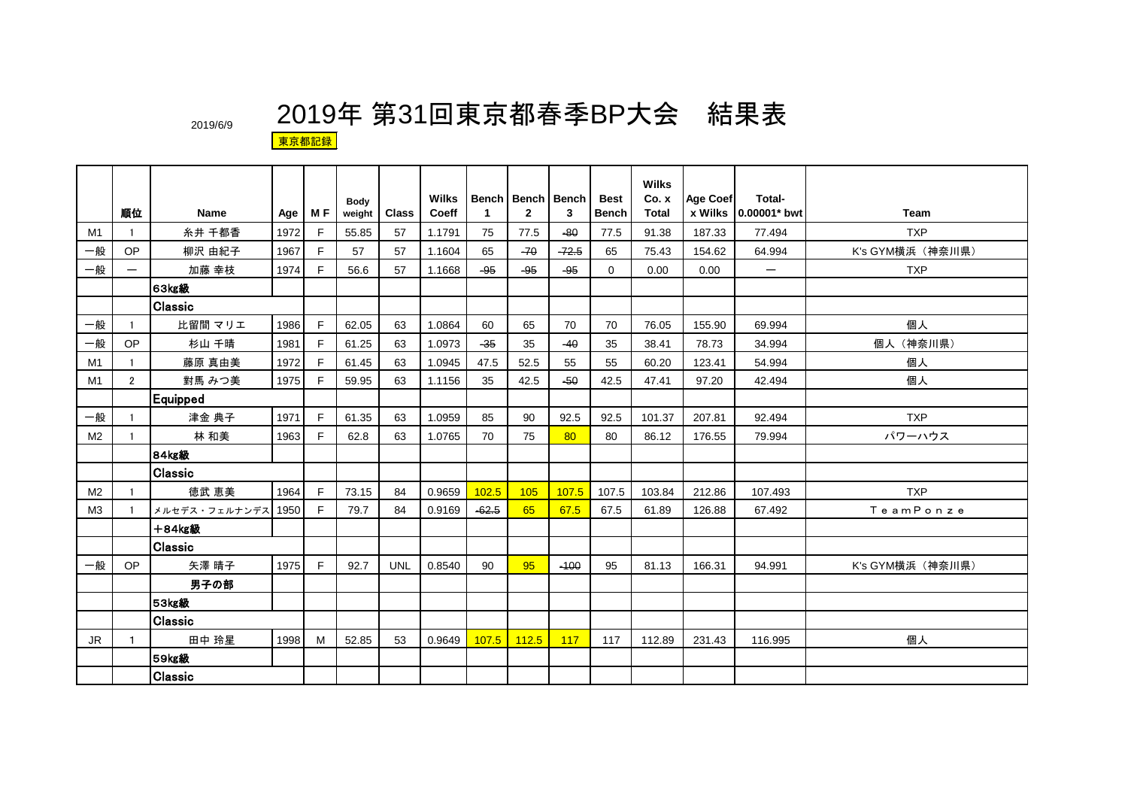|                |                          |                    |      |     |                |              | <b>Wilks</b> |              | <b>Bench   Bench   Bench</b> |         | <b>Best</b>    | <b>Wilks</b><br>Co. x | <b>Age Coef</b> | Total-                |                  |
|----------------|--------------------------|--------------------|------|-----|----------------|--------------|--------------|--------------|------------------------------|---------|----------------|-----------------------|-----------------|-----------------------|------------------|
|                | 順位                       | Name               | Age  | M F | Body<br>weight | <b>Class</b> | Coeff        | $\mathbf{1}$ | $\mathbf{2}$                 | 3       | <b>Bench</b>   | Total                 |                 | x Wilks 10.00001* bwt | Team             |
| M1             | -1                       | 糸井 千都香             | 1972 | E   | 55.85          | 57           | 1.1791       | 75           | 77.5                         | $-80$   | 77.5           | 91.38                 | 187.33          | 77.494                | <b>TXP</b>       |
| 一般             | OP                       | 柳沢 由紀子             | 1967 | F   | 57             | 57           | 1.1604       | 65           | $-70$                        | $-72.5$ | 65             | 75.43                 | 154.62          | 64.994                | K's GYM横浜 (神奈川県) |
| 一般             | $\overline{\phantom{0}}$ | 加藤 幸枝              | 1974 | F   | 56.6           | 57           | 1.1668       | $-95$        | $-95$                        | $-95$   | $\overline{0}$ | 0.00                  | 0.00            | $\equiv$              | <b>TXP</b>       |
|                |                          | 63kg級              |      |     |                |              |              |              |                              |         |                |                       |                 |                       |                  |
|                |                          | <b>Classic</b>     |      |     |                |              |              |              |                              |         |                |                       |                 |                       |                  |
| 一般             |                          | 比留間 マリエ            | 1986 | F   | 62.05          | 63           | 1.0864       | 60           | 65                           | 70      | 70             | 76.05                 | 155.90          | 69.994                | 個人               |
| 一般             | OP                       | 杉山 千晴              | 1981 | F   | 61.25          | 63           | 1.0973       | $-35$        | 35                           | $-40$   | 35             | 38.41                 | 78.73           | 34.994                | 個人 (神奈川県)        |
| M <sub>1</sub> | -1                       | 藤原 真由美             | 1972 | F   | 61.45          | 63           | 1.0945       | 47.5         | 52.5                         | 55      | 55             | 60.20                 | 123.41          | 54.994                | 個人               |
| M1             | $\overline{2}$           | 對馬 みつ美             | 1975 | E   | 59.95          | 63           | 1.1156       | 35           | 42.5                         | $-50$   | 42.5           | 47.41                 | 97.20           | 42.494                | 個人               |
|                |                          | Equipped           |      |     |                |              |              |              |                              |         |                |                       |                 |                       |                  |
| 一般             |                          | 津金 典子              | 1971 | F   | 61.35          | 63           | 1.0959       | 85           | 90                           | 92.5    | 92.5           | 101.37                | 207.81          | 92.494                | <b>TXP</b>       |
| M <sub>2</sub> | $\mathbf{1}$             | 林 和美               | 1963 | F   | 62.8           | 63           | 1.0765       | 70           | 75                           | 80      | 80             | 86.12                 | 176.55          | 79.994                | パワーハウス           |
|                |                          | 84kg級              |      |     |                |              |              |              |                              |         |                |                       |                 |                       |                  |
|                |                          | <b>Classic</b>     |      |     |                |              |              |              |                              |         |                |                       |                 |                       |                  |
| M <sub>2</sub> |                          | 徳武 恵美              | 1964 | F   | 73.15          | 84           | 0.9659       | 102.5        | 105                          | 107.5   | 107.5          | 103.84                | 212.86          | 107.493               | <b>TXP</b>       |
| M <sub>3</sub> |                          | メルセデス・フェルナンデス 1950 |      | F   | 79.7           | 84           | 0.9169       | $-62.5$      | 65                           | 67.5    | 67.5           | 61.89                 | 126.88          | 67.492                | TeamPonze        |
|                |                          | <b>十84kg級</b>      |      |     |                |              |              |              |                              |         |                |                       |                 |                       |                  |
|                |                          | <b>Classic</b>     |      |     |                |              |              |              |                              |         |                |                       |                 |                       |                  |
| 一般             | <b>OP</b>                | 矢澤 晴子              | 1975 | F   | 92.7           | <b>UNL</b>   | 0.8540       | 90           | 95                           | $-100$  | 95             | 81.13                 | 166.31          | 94.991                | K's GYM横浜 (神奈川県) |
|                |                          | 男子の部               |      |     |                |              |              |              |                              |         |                |                       |                 |                       |                  |
|                |                          | <b>53kg級</b>       |      |     |                |              |              |              |                              |         |                |                       |                 |                       |                  |
|                |                          | Classic            |      |     |                |              |              |              |                              |         |                |                       |                 |                       |                  |
| <b>JR</b>      | $\mathbf{1}$             | 田中 玲星              | 1998 | M   | 52.85          | 53           | 0.9649       | 107.5        | 112.5                        | 117     | 117            | 112.89                | 231.43          | 116.995               | 個人               |
|                |                          | 59kg級              |      |     |                |              |              |              |                              |         |                |                       |                 |                       |                  |
|                |                          | <b>Classic</b>     |      |     |                |              |              |              |                              |         |                |                       |                 |                       |                  |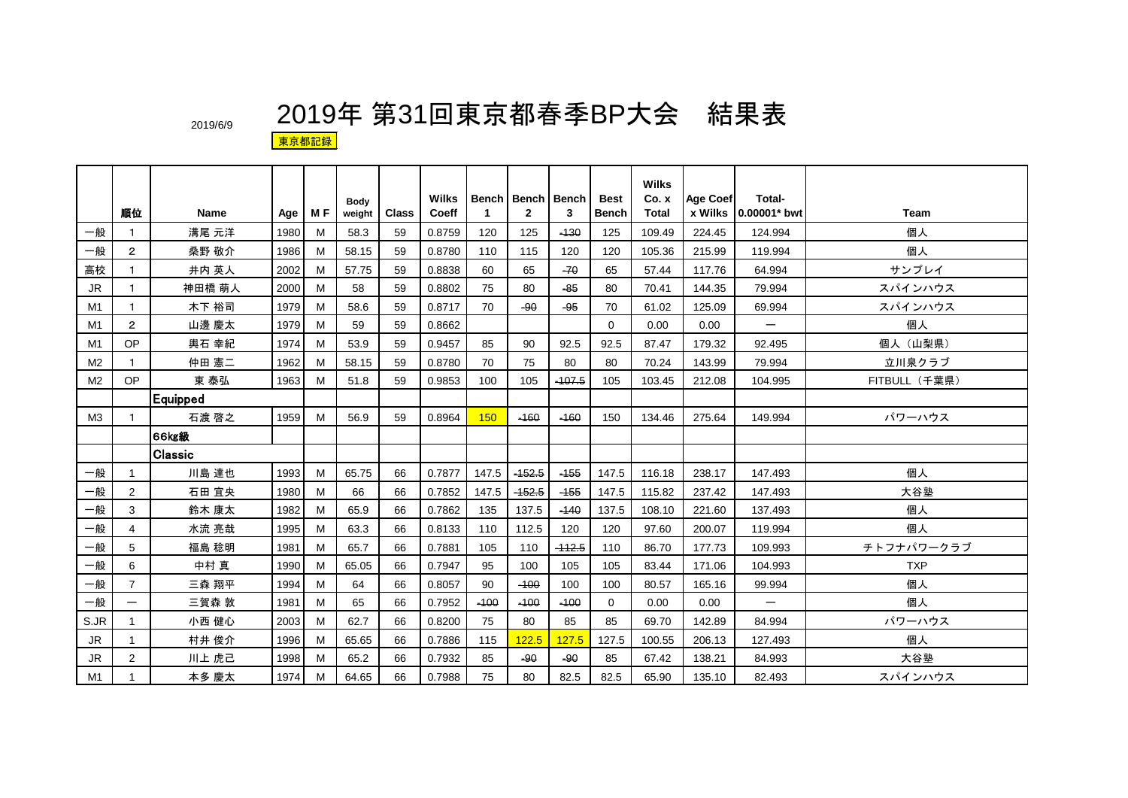|                |                 |                |      |     | Body   |              | <b>Wilks</b> |             | <b>Bench   Bench   Bench</b> |          | <b>Best</b>  | <b>Wilks</b><br>Co. x | <b>Age Coef</b> | Total-                   |               |
|----------------|-----------------|----------------|------|-----|--------|--------------|--------------|-------------|------------------------------|----------|--------------|-----------------------|-----------------|--------------------------|---------------|
|                | 順位              | Name           | Age  | M F | weight | <b>Class</b> | Coeff        | $\mathbf 1$ | $\overline{2}$               | 3        | <b>Bench</b> | Total                 | x Wilks         | 0.00001* bwt             | <b>Team</b>   |
| 一般             | 1               | 溝尾 元洋          | 1980 | м   | 58.3   | 59           | 0.8759       | 120         | 125                          | $-130$   | 125          | 109.49                | 224.45          | 124.994                  | 個人            |
| 一般             | $\mathbf{2}$    | 桑野 敬介          | 1986 | M   | 58.15  | 59           | 0.8780       | 110         | 115                          | 120      | 120          | 105.36                | 215.99          | 119.994                  | 個人            |
| 高校             | 1               | 井内 英人          | 2002 | M   | 57.75  | 59           | 0.8838       | 60          | 65                           | $-70$    | 65           | 57.44                 | 117.76          | 64.994                   | サンプレイ         |
| <b>JR</b>      | 1               | 神田橋 萌人         | 2000 | M   | 58     | 59           | 0.8802       | 75          | 80                           | $-85$    | 80           | 70.41                 | 144.35          | 79.994                   | スパインハウス       |
| M <sub>1</sub> | 1               | 木下 裕司          | 1979 | M   | 58.6   | 59           | 0.8717       | 70          | $-90$                        | $-95$    | 70           | 61.02                 | 125.09          | 69.994                   | スパインハウス       |
| M1             | $\mathbf{2}$    | 山邊 慶太          | 1979 | M   | 59     | 59           | 0.8662       |             |                              |          | $\Omega$     | 0.00                  | 0.00            | $\overline{\phantom{0}}$ | 個人            |
| M1             | OP              | 輿石 幸紀          | 1974 | M   | 53.9   | 59           | 0.9457       | 85          | 90                           | 92.5     | 92.5         | 87.47                 | 179.32          | 92.495                   | 個人 (山梨県)      |
| M <sub>2</sub> | 1               | 仲田 憲二          | 1962 | M   | 58.15  | 59           | 0.8780       | 70          | 75                           | 80       | 80           | 70.24                 | 143.99          | 79.994                   | 立川泉クラブ        |
| M <sub>2</sub> | OP              | 東 泰弘           | 1963 | M   | 51.8   | 59           | 0.9853       | 100         | 105                          | $-407.5$ | 105          | 103.45                | 212.08          | 104.995                  | FITBULL (千葉県) |
|                |                 | Equipped       |      |     |        |              |              |             |                              |          |              |                       |                 |                          |               |
| M3             | 1               | 石渡 啓之          | 1959 | M   | 56.9   | 59           | 0.8964       | 150         | $-160$                       | $-160$   | 150          | 134.46                | 275.64          | 149.994                  | パワーハウス        |
|                |                 | 66kg級          |      |     |        |              |              |             |                              |          |              |                       |                 |                          |               |
|                |                 | <b>Classic</b> |      |     |        |              |              |             |                              |          |              |                       |                 |                          |               |
| 一般             | $\mathbf{1}$    | 川島 達也          | 1993 | M   | 65.75  | 66           | 0.7877       | 147.5       | $-152.5$                     | $-155$   | 147.5        | 116.18                | 238.17          | 147.493                  | 個人            |
| 一般             | 2               | 石田 宜央          | 1980 | M   | 66     | 66           | 0.7852       | 147.5       | $-152.5$                     | $-155$   | 147.5        | 115.82                | 237.42          | 147.493                  | 大谷塾           |
| 一般             | 3               | 鈴木 康太          | 1982 | M   | 65.9   | 66           | 0.7862       | 135         | 137.5                        | $-140$   | 137.5        | 108.10                | 221.60          | 137.493                  | 個人            |
| 一般             | 4               | 水流 亮哉          | 1995 | M   | 63.3   | 66           | 0.8133       | 110         | 112.5                        | 120      | 120          | 97.60                 | 200.07          | 119.994                  | 個人            |
| 一般             | 5               | 福島 稔明          | 1981 | M   | 65.7   | 66           | 0.7881       | 105         | 110                          | $-112.5$ | 110          | 86.70                 | 177.73          | 109.993                  | チトフナパワークラブ    |
| 一般             | 6               | 中村 真           | 1990 | M   | 65.05  | 66           | 0.7947       | 95          | 100                          | 105      | 105          | 83.44                 | 171.06          | 104.993                  | <b>TXP</b>    |
| 一般             | $\overline{7}$  | 三森 翔平          | 1994 | M   | 64     | 66           | 0.8057       | 90          | $-100$                       | 100      | 100          | 80.57                 | 165.16          | 99.994                   | 個人            |
| 一般             | $\qquad \qquad$ | 三賀森 敦          | 1981 | M   | 65     | 66           | 0.7952       | $-100$      | $-100$                       | $-100$   | $\Omega$     | 0.00                  | 0.00            | —                        | 個人            |
| S.JR           | $\mathbf 1$     | 小西 健心          | 2003 | M   | 62.7   | 66           | 0.8200       | 75          | 80                           | 85       | 85           | 69.70                 | 142.89          | 84.994                   | パワーハウス        |
| <b>JR</b>      | $\mathbf{1}$    | 村井 俊介          | 1996 | M   | 65.65  | 66           | 0.7886       | 115         | 122.5                        | 127.5    | 127.5        | 100.55                | 206.13          | 127.493                  | 個人            |
| <b>JR</b>      | 2               | 川上 虎己          | 1998 | M   | 65.2   | 66           | 0.7932       | 85          | -90                          | -90      | 85           | 67.42                 | 138.21          | 84.993                   | 大谷塾           |
| M1             | 1               | 本多 慶太          | 1974 | M   | 64.65  | 66           | 0.7988       | 75          | 80                           | 82.5     | 82.5         | 65.90                 | 135.10          | 82.493                   | スパインハウス       |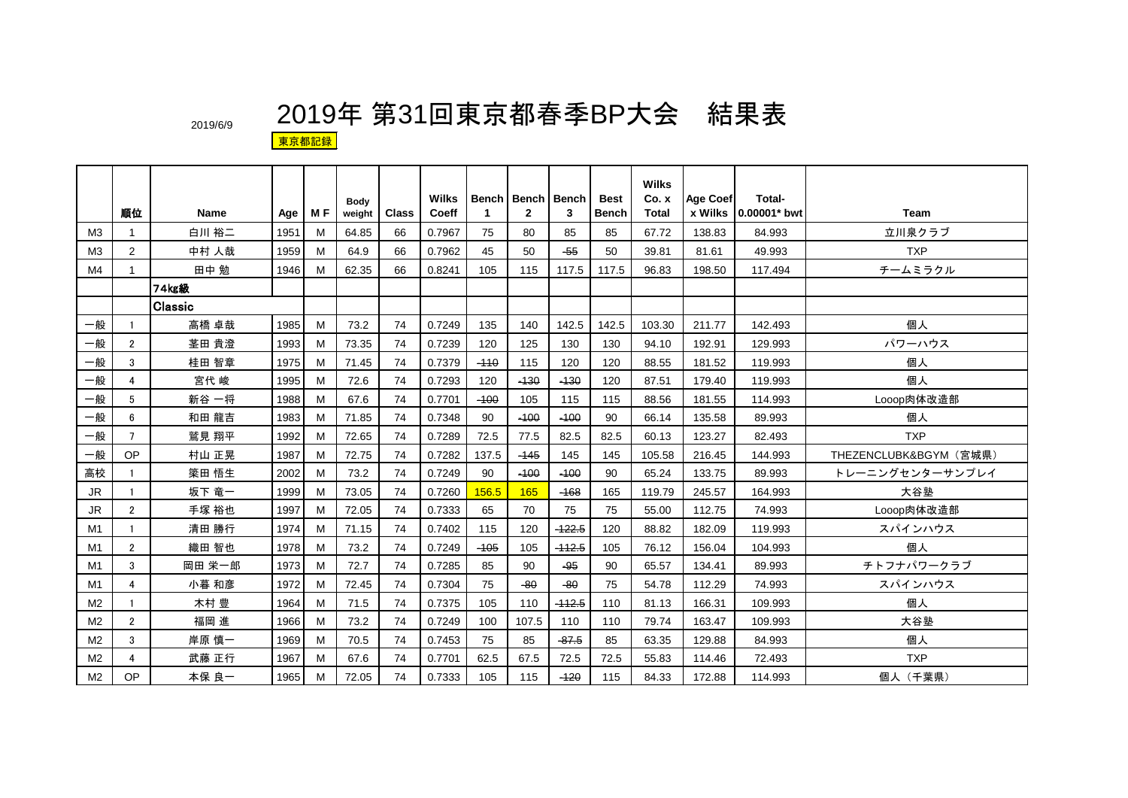|                | 順位             | Name     | Age  | M F | <b>Body</b><br>weight | <b>Class</b> | Wilks<br>Coeff | 1      | <b>Bench   Bench  </b><br>$\mathbf{2}$ | <b>Bench</b><br>3 | <b>Best</b><br><b>Bench</b> | <b>Wilks</b><br>Co. x<br><b>Total</b> | <b>Age Coef</b><br>x Wilks | Total-<br>0.00001* bwt | Team                   |
|----------------|----------------|----------|------|-----|-----------------------|--------------|----------------|--------|----------------------------------------|-------------------|-----------------------------|---------------------------------------|----------------------------|------------------------|------------------------|
| M <sub>3</sub> | 1              | 白川 裕二    | 1951 | м   | 64.85                 | 66           | 0.7967         | 75     | 80                                     | 85                | 85                          | 67.72                                 | 138.83                     | 84.993                 | 立川泉クラブ                 |
| M <sub>3</sub> | $\overline{2}$ | 中村 人哉    | 1959 | M   | 64.9                  | 66           | 0.7962         | 45     | 50                                     | $-55$             | 50                          | 39.81                                 | 81.61                      | 49.993                 | <b>TXP</b>             |
| M4             | 1              | 田中 勉     | 1946 | M   | 62.35                 | 66           | 0.8241         | 105    | 115                                    | 117.5             | 117.5                       | 96.83                                 | 198.50                     | 117.494                | チームミラクル                |
|                |                | 74kg級    |      |     |                       |              |                |        |                                        |                   |                             |                                       |                            |                        |                        |
|                |                | lClassic |      |     |                       |              |                |        |                                        |                   |                             |                                       |                            |                        |                        |
| 一般             |                | 高橋 卓哉    | 1985 | м   | 73.2                  | 74           | 0.7249         | 135    | 140                                    | 142.5             | 142.5                       | 103.30                                | 211.77                     | 142.493                | 個人                     |
| 一般             | $\overline{2}$ | 茎田 貴澄    | 1993 | M   | 73.35                 | 74           | 0.7239         | 120    | 125                                    | 130               | 130                         | 94.10                                 | 192.91                     | 129.993                | パワーハウス                 |
| 一般             | 3              | 桂田 智章    | 1975 | M   | 71.45                 | 74           | 0.7379         | $-110$ | 115                                    | 120               | 120                         | 88.55                                 | 181.52                     | 119.993                | 個人                     |
| 一般             | 4              | 宮代 峻     | 1995 | M   | 72.6                  | 74           | 0.7293         | 120    | $-130$                                 | $-130$            | 120                         | 87.51                                 | 179.40                     | 119.993                | 個人                     |
| 一般             | 5              | 新谷 一将    | 1988 | м   | 67.6                  | 74           | 0.7701         | $-100$ | 105                                    | 115               | 115                         | 88.56                                 | 181.55                     | 114.993                | Looop肉体改造部             |
| 一般             | 6              | 和田 龍吉    | 1983 | м   | 71.85                 | 74           | 0.7348         | 90     | $-100$                                 | $-100$            | 90                          | 66.14                                 | 135.58                     | 89.993                 | 個人                     |
| 一般             | $\overline{7}$ | 鷲見 翔平    | 1992 | м   | 72.65                 | 74           | 0.7289         | 72.5   | 77.5                                   | 82.5              | 82.5                        | 60.13                                 | 123.27                     | 82.493                 | <b>TXP</b>             |
| 一般             | <b>OP</b>      | 村山 正晃    | 1987 | M   | 72.75                 | 74           | 0.7282         | 137.5  | $-145$                                 | 145               | 145                         | 105.58                                | 216.45                     | 144.993                | THEZENCLUBK&BGYM (宮城県) |
| 高校             |                | 簗田 悟生    | 2002 | M   | 73.2                  | 74           | 0.7249         | 90     | $-100$                                 | $-100$            | 90                          | 65.24                                 | 133.75                     | 89.993                 | トレーニングセンターサンプレイ        |
| JR.            |                | 坂下 竜一    | 1999 | M   | 73.05                 | 74           | 0.7260         | 156.5  | 165                                    | $-168$            | 165                         | 119.79                                | 245.57                     | 164.993                | 大谷塾                    |
| JR.            | $\overline{2}$ | 手塚 裕也    | 1997 | м   | 72.05                 | 74           | 0.7333         | 65     | 70                                     | 75                | 75                          | 55.00                                 | 112.75                     | 74.993                 | Looop肉体改造部             |
| M1             | -1             | 清田 勝行    | 1974 | м   | 71.15                 | 74           | 0.7402         | 115    | 120                                    | $-122.5$          | 120                         | 88.82                                 | 182.09                     | 119.993                | スパインハウス                |
| M1             | $\overline{2}$ | 織田 智也    | 1978 | M   | 73.2                  | 74           | 0.7249         | $-105$ | 105                                    | $-112.5$          | 105                         | 76.12                                 | 156.04                     | 104.993                | 個人                     |
| M1             | 3              | 岡田 栄一郎   | 1973 | M   | 72.7                  | 74           | 0.7285         | 85     | 90                                     | $-95$             | 90                          | 65.57                                 | 134.41                     | 89.993                 | チトフナパワークラブ             |
| M1             | 4              | 小暮 和彦    | 1972 | м   | 72.45                 | 74           | 0.7304         | 75     | $-80$                                  | $-80$             | 75                          | 54.78                                 | 112.29                     | 74.993                 | スパインハウス                |
| M <sub>2</sub> |                | 木村 豊     | 1964 | м   | 71.5                  | 74           | 0.7375         | 105    | 110                                    | $-112.5$          | 110                         | 81.13                                 | 166.31                     | 109.993                | 個人                     |
| M <sub>2</sub> | $\overline{2}$ | 福岡 進     | 1966 | М   | 73.2                  | 74           | 0.7249         | 100    | 107.5                                  | 110               | 110                         | 79.74                                 | 163.47                     | 109.993                | 大谷塾                    |
| M <sub>2</sub> | 3              | 岸原 慎一    | 1969 | м   | 70.5                  | 74           | 0.7453         | 75     | 85                                     | $-87.5$           | 85                          | 63.35                                 | 129.88                     | 84.993                 | 個人                     |
| M <sub>2</sub> | 4              | 武藤 正行    | 1967 | M   | 67.6                  | 74           | 0.7701         | 62.5   | 67.5                                   | 72.5              | 72.5                        | 55.83                                 | 114.46                     | 72.493                 | <b>TXP</b>             |
| M <sub>2</sub> | <b>OP</b>      | 本保 良一    | 1965 | M   | 72.05                 | 74           | 0.7333         | 105    | 115                                    | $-120$            | 115                         | 84.33                                 | 172.88                     | 114.993                | 個人 (千葉県)               |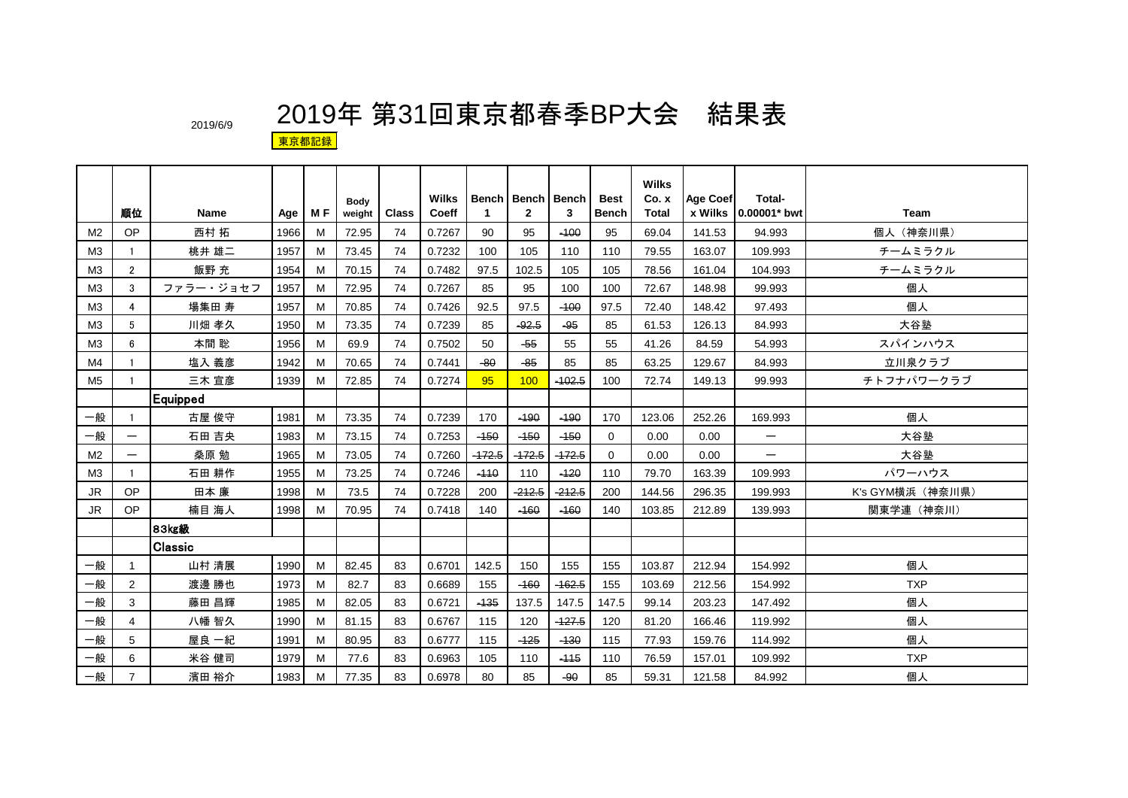|                | 順位                       | <b>Name</b> | Age  | M F | <b>Body</b><br>weight | <b>Class</b> | <b>Wilks</b><br>Coeff | $\mathbf{1}$ | <b>Bench   Bench   Bench</b><br>$\mathbf{2}$ | 3        | <b>Best</b><br><b>Bench</b> | <b>Wilks</b><br>Co. x<br>Total | <b>Age Coef</b> | Total-<br>x Wilks 10.00001* bwt | <b>Team</b>      |
|----------------|--------------------------|-------------|------|-----|-----------------------|--------------|-----------------------|--------------|----------------------------------------------|----------|-----------------------------|--------------------------------|-----------------|---------------------------------|------------------|
| M <sub>2</sub> | <b>OP</b>                | 西村 拓        | 1966 | м   | 72.95                 | 74           | 0.7267                | 90           | 95                                           | $-100$   | 95                          | 69.04                          | 141.53          | 94.993                          | 個人 (神奈川県)        |
| M <sub>3</sub> | -1                       | 桃井 雄二       | 1957 | м   | 73.45                 | 74           | 0.7232                | 100          | 105                                          | 110      | 110                         | 79.55                          | 163.07          | 109.993                         | チームミラクル          |
| M <sub>3</sub> | $\overline{2}$           | 飯野 充        | 1954 | M   | 70.15                 | 74           | 0.7482                | 97.5         | 102.5                                        | 105      | 105                         | 78.56                          | 161.04          | 104.993                         | チームミラクル          |
| M <sub>3</sub> | 3                        | ファラー・ジョセフ   | 1957 | M   | 72.95                 | 74           | 0.7267                | 85           | 95                                           | 100      | 100                         | 72.67                          | 148.98          | 99.993                          | 個人               |
| M <sub>3</sub> | 4                        | 場集田 寿       | 1957 | м   | 70.85                 | 74           | 0.7426                | 92.5         | 97.5                                         | $-100$   | 97.5                        | 72.40                          | 148.42          | 97.493                          | 個人               |
| M <sub>3</sub> | 5                        | 川畑 孝久       | 1950 | M   | 73.35                 | 74           | 0.7239                | 85           | $-92.5$                                      | -95      | 85                          | 61.53                          | 126.13          | 84.993                          | 大谷塾              |
| M <sub>3</sub> | 6                        | 本間 聡        | 1956 | M   | 69.9                  | 74           | 0.7502                | 50           | $-55$                                        | 55       | 55                          | 41.26                          | 84.59           | 54.993                          | スパインハウス          |
| M4             |                          | 塩入 義彦       | 1942 | м   | 70.65                 | 74           | 0.7441                | $-80$        | $-85$                                        | 85       | 85                          | 63.25                          | 129.67          | 84.993                          | 立川泉クラブ           |
| M <sub>5</sub> |                          | 三木 宣彦       | 1939 | м   | 72.85                 | 74           | 0.7274                | 95           | 100                                          | $-102.5$ | 100                         | 72.74                          | 149.13          | 99.993                          | チトフナパワークラブ       |
|                |                          | Equipped    |      |     |                       |              |                       |              |                                              |          |                             |                                |                 |                                 |                  |
| 一般             |                          | 古屋 俊守       | 1981 | M   | 73.35                 | 74           | 0.7239                | 170          | $-190$                                       | $-190$   | 170                         | 123.06                         | 252.26          | 169.993                         | 個人               |
| 一般             |                          | 石田 吉央       | 1983 | м   | 73.15                 | 74           | 0.7253                | $-150$       | $-150$                                       | $-450$   | $\Omega$                    | 0.00                           | 0.00            |                                 | 大谷塾              |
| M <sub>2</sub> | $\overline{\phantom{m}}$ | 桑原 勉        | 1965 | M   | 73.05                 | 74           | 0.7260                | $-472.5$     | $-172.5$                                     | $-172.5$ | $\Omega$                    | 0.00                           | 0.00            | $\qquad \qquad -$               | 大谷塾              |
| M <sub>3</sub> |                          | 石田 耕作       | 1955 | M   | 73.25                 | 74           | 0.7246                | $-110$       | 110                                          | $-120$   | 110                         | 79.70                          | 163.39          | 109.993                         | パワーハウス           |
| <b>JR</b>      | OP                       | 田本 廉        | 1998 | M   | 73.5                  | 74           | 0.7228                | 200          | $-212.5$                                     | $-212.5$ | 200                         | 144.56                         | 296.35          | 199.993                         | K's GYM横浜 (神奈川県) |
| <b>JR</b>      | <b>OP</b>                | 楠目 海人       | 1998 | M   | 70.95                 | 74           | 0.7418                | 140          | $-160$                                       | $-160$   | 140                         | 103.85                         | 212.89          | 139.993                         | 関東学連 (神奈川)       |
|                |                          | 83kg級       |      |     |                       |              |                       |              |                                              |          |                             |                                |                 |                                 |                  |
|                |                          | Classic     |      |     |                       |              |                       |              |                                              |          |                             |                                |                 |                                 |                  |
| 一般             | 1                        | 山村 清展       | 1990 | м   | 82.45                 | 83           | 0.6701                | 142.5        | 150                                          | 155      | 155                         | 103.87                         | 212.94          | 154.992                         | 個人               |
| 一般             | $\overline{2}$           | 渡邊 勝也       | 1973 | M   | 82.7                  | 83           | 0.6689                | 155          | $-160$                                       | $-162.5$ | 155                         | 103.69                         | 212.56          | 154.992                         | <b>TXP</b>       |
| 一般             | 3                        | 藤田 昌輝       | 1985 | M   | 82.05                 | 83           | 0.6721                | $-135$       | 137.5                                        | 147.5    | 147.5                       | 99.14                          | 203.23          | 147.492                         | 個人               |
| 一般             | 4                        | 八幡 智久       | 1990 | M   | 81.15                 | 83           | 0.6767                | 115          | 120                                          | $-127.5$ | 120                         | 81.20                          | 166.46          | 119.992                         | 個人               |
| 一般             | 5                        | 屋良 一紀       | 1991 | м   | 80.95                 | 83           | 0.6777                | 115          | $-125$                                       | $-130$   | 115                         | 77.93                          | 159.76          | 114.992                         | 個人               |
| 一般             | 6                        | 米谷 健司       | 1979 | M   | 77.6                  | 83           | 0.6963                | 105          | 110                                          | $-115$   | 110                         | 76.59                          | 157.01          | 109.992                         | <b>TXP</b>       |
| 一般             | $\overline{7}$           | 濱田 裕介       | 1983 | M   | 77.35                 | 83           | 0.6978                | 80           | 85                                           | -90      | 85                          | 59.31                          | 121.58          | 84.992                          | 個人               |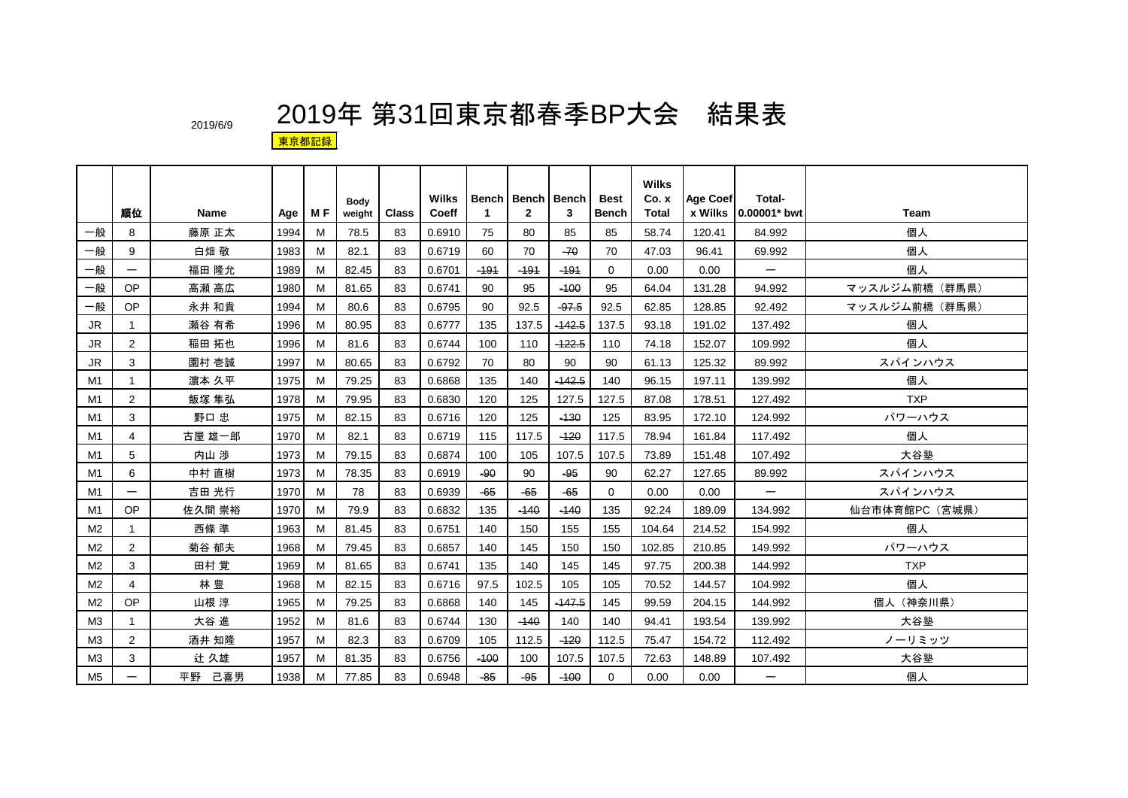|                |                |             |      |     | Body   |              | Wilks  |             | Bench   Bench   Bench |          | <b>Best</b>  | <b>Wilks</b><br>Co. x | <b>Age Coef</b> | Total-                   |                |
|----------------|----------------|-------------|------|-----|--------|--------------|--------|-------------|-----------------------|----------|--------------|-----------------------|-----------------|--------------------------|----------------|
|                | 順位             | <b>Name</b> | Age  | M F | weight | <b>Class</b> | Coeff  | $\mathbf 1$ | $\overline{2}$        | 3        | <b>Bench</b> | Total                 |                 | x Wilks   0.00001* bwt   | <b>Team</b>    |
| 一般             | 8              | 藤原 正太       | 1994 | м   | 78.5   | 83           | 0.6910 | 75          | 80                    | 85       | 85           | 58.74                 | 120.41          | 84.992                   | 個人             |
| 一般             | 9              | 白畑 敬        | 1983 | M   | 82.1   | 83           | 0.6719 | 60          | 70                    | $-70$    | 70           | 47.03                 | 96.41           | 69.992                   | 個人             |
| 一般             |                | 福田 隆允       | 1989 | M   | 82.45  | 83           | 0.6701 | $-191$      | $-191$                | $-191$   | $\Omega$     | 0.00                  | 0.00            | $\qquad \qquad$          | 個人             |
| 一般             | <b>OP</b>      | 高瀬 高広       | 1980 | M   | 81.65  | 83           | 0.6741 | 90          | 95                    | $-100$   | 95           | 64.04                 | 131.28          | 94.992                   | マッスルジム前橋 (群馬県) |
| 一般             | OP             | 永井 和貴       | 1994 | м   | 80.6   | 83           | 0.6795 | 90          | 92.5                  | $-97.5$  | 92.5         | 62.85                 | 128.85          | 92.492                   | マッスルジム前橋 (群馬県) |
| JR.            | $\overline{1}$ | 瀬谷 有希       | 1996 | M   | 80.95  | 83           | 0.6777 | 135         | 137.5                 | $-142.5$ | 137.5        | 93.18                 | 191.02          | 137.492                  | 個人             |
| JR.            | $\overline{2}$ | 稲田 拓也       | 1996 | м   | 81.6   | 83           | 0.6744 | 100         | 110                   | $-122.5$ | 110          | 74.18                 | 152.07          | 109.992                  | 個人             |
| JR             | 3              | 園村 壱誠       | 1997 | м   | 80.65  | 83           | 0.6792 | 70          | 80                    | 90       | 90           | 61.13                 | 125.32          | 89.992                   | スパインハウス        |
| M1             | $\overline{1}$ | 濵本 久平       | 1975 | M   | 79.25  | 83           | 0.6868 | 135         | 140                   | $-142.5$ | 140          | 96.15                 | 197.11          | 139.992                  | 個人             |
| M1             | $\overline{2}$ | 飯塚 隼弘       | 1978 | M   | 79.95  | 83           | 0.6830 | 120         | 125                   | 127.5    | 127.5        | 87.08                 | 178.51          | 127.492                  | <b>TXP</b>     |
| M1             | 3              | 野口 忠        | 1975 | м   | 82.15  | 83           | 0.6716 | 120         | 125                   | $-130$   | 125          | 83.95                 | 172.10          | 124.992                  | パワーハウス         |
| M1             | 4              | 古屋 雄一郎      | 1970 | м   | 82.1   | 83           | 0.6719 | 115         | 117.5                 | $-120$   | 117.5        | 78.94                 | 161.84          | 117.492                  | 個人             |
| M1             | 5              | 内山 涉        | 1973 | м   | 79.15  | 83           | 0.6874 | 100         | 105                   | 107.5    | 107.5        | 73.89                 | 151.48          | 107.492                  | 大谷塾            |
| M1             | 6              | 中村 直樹       | 1973 | м   | 78.35  | 83           | 0.6919 | $-90$       | 90                    | $-95$    | 90           | 62.27                 | 127.65          | 89.992                   | スパインハウス        |
| M1             |                | 吉田 光行       | 1970 | м   | 78     | 83           | 0.6939 | $-65$       | $-65$                 | $-65$    | $\Omega$     | 0.00                  | 0.00            |                          | スパインハウス        |
| M1             | OP             | 佐久間 崇裕      | 1970 | M   | 79.9   | 83           | 0.6832 | 135         | $-140$                | $-140$   | 135          | 92.24                 | 189.09          | 134.992                  | 仙台市体育館PC (宮城県) |
| M <sub>2</sub> | $\mathbf 1$    | 西條 準        | 1963 | м   | 81.45  | 83           | 0.6751 | 140         | 150                   | 155      | 155          | 104.64                | 214.52          | 154.992                  | 個人             |
| M <sub>2</sub> | $\overline{2}$ | 菊谷 郁夫       | 1968 | м   | 79.45  | 83           | 0.6857 | 140         | 145                   | 150      | 150          | 102.85                | 210.85          | 149.992                  | パワーハウス         |
| M <sub>2</sub> | 3              | 田村 覚        | 1969 | M   | 81.65  | 83           | 0.6741 | 135         | 140                   | 145      | 145          | 97.75                 | 200.38          | 144.992                  | <b>TXP</b>     |
| M <sub>2</sub> | 4              | 林豊          | 1968 | м   | 82.15  | 83           | 0.6716 | 97.5        | 102.5                 | 105      | 105          | 70.52                 | 144.57          | 104.992                  | 個人             |
| M <sub>2</sub> | OP             | 山根 淳        | 1965 | м   | 79.25  | 83           | 0.6868 | 140         | 145                   | $-447.5$ | 145          | 99.59                 | 204.15          | 144.992                  | 個人 (神奈川県)      |
| ΜЗ             | $\mathbf{1}$   | 大谷 進        | 1952 | M   | 81.6   | 83           | 0.6744 | 130         | $-140$                | 140      | 140          | 94.41                 | 193.54          | 139.992                  | 大谷塾            |
| M <sub>3</sub> | $\overline{2}$ | 酒井 知隆       | 1957 | м   | 82.3   | 83           | 0.6709 | 105         | 112.5                 | $-120$   | 112.5        | 75.47                 | 154.72          | 112.492                  | ノーリミッツ         |
| M <sub>3</sub> | 3              | 辻久雄         | 1957 | М   | 81.35  | 83           | 0.6756 | $-100$      | 100                   | 107.5    | 107.5        | 72.63                 | 148.89          | 107.492                  | 大谷塾            |
| M <sub>5</sub> |                | 平野 己喜男      | 1938 | M   | 77.85  | 83           | 0.6948 | $-85$       | $-95$                 | $-100$   | $\mathbf 0$  | 0.00                  | 0.00            | $\overline{\phantom{m}}$ | 個人             |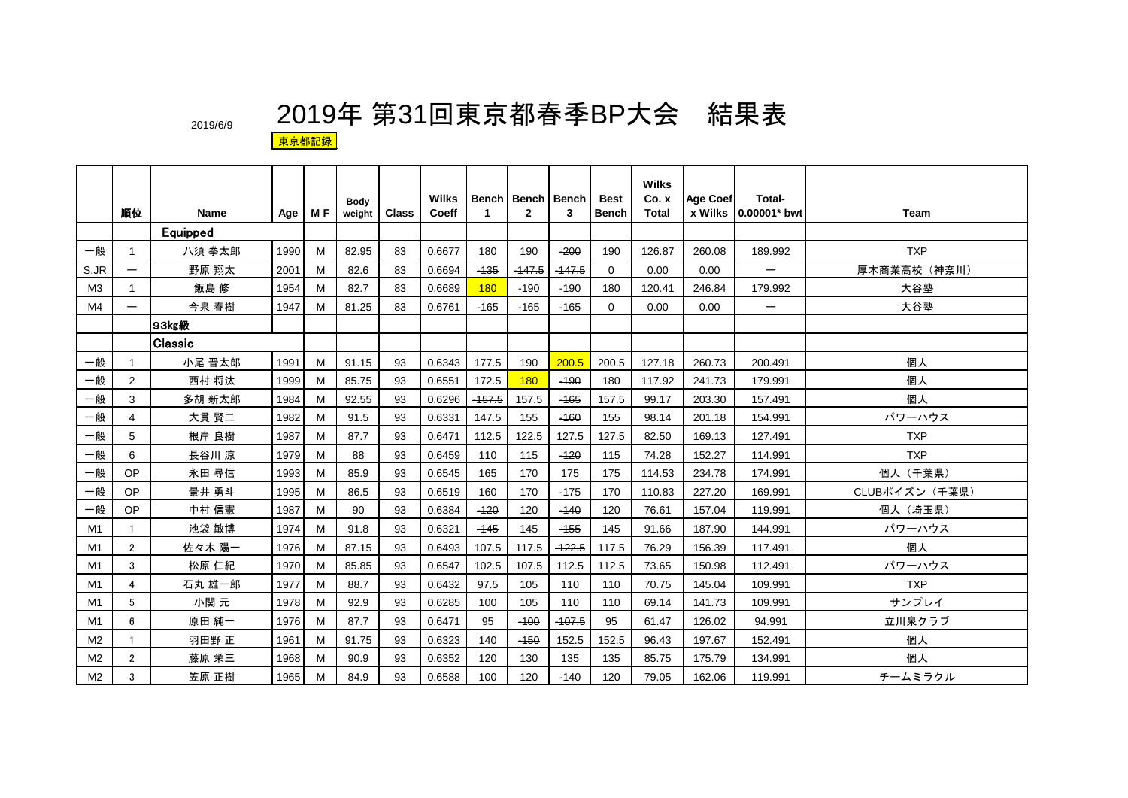|                |                          |                |      |     |                       |       | Wilks  |                      | <b>Bench   Bench   Bench</b> |          | <b>Best</b>  | <b>Wilks</b><br>Co. x | <b>Age Coef</b> | Total-            |                |
|----------------|--------------------------|----------------|------|-----|-----------------------|-------|--------|----------------------|------------------------------|----------|--------------|-----------------------|-----------------|-------------------|----------------|
|                | 順位                       | <b>Name</b>    | Age  | M F | <b>Body</b><br>weight | Class | Coeff  | $\blacktriangleleft$ | $\mathbf{2}$                 | 3        | <b>Bench</b> | Total                 | x Wilks         | 0.00001* bwt      | <b>Team</b>    |
|                |                          | Equipped       |      |     |                       |       |        |                      |                              |          |              |                       |                 |                   |                |
| 一般             | $\mathbf{1}$             | 八須 拳太郎         | 1990 | M   | 82.95                 | 83    | 0.6677 | 180                  | 190                          | $-200$   | 190          | 126.87                | 260.08          | 189.992           | <b>TXP</b>     |
| S.JR           | $\qquad \qquad$          | 野原 翔太          | 2001 | м   | 82.6                  | 83    | 0.6694 | $-135$               | $-147.5$                     | $-147.5$ | $\Omega$     | 0.00                  | 0.00            |                   | 厚木商業高校(神奈川)    |
| M <sub>3</sub> | 1                        | 飯島 修           | 1954 | м   | 82.7                  | 83    | 0.6689 | 180                  | $-190$                       | $-190$   | 180          | 120.41                | 246.84          | 179.992           | 大谷塾            |
| M4             | $\overline{\phantom{m}}$ | 今泉 春樹          | 1947 | M   | 81.25                 | 83    | 0.6761 | $-165$               | $-165$                       | $-165$   | $\mathbf 0$  | 0.00                  | 0.00            | $\qquad \qquad -$ | 大谷塾            |
|                |                          | 93kg級          |      |     |                       |       |        |                      |                              |          |              |                       |                 |                   |                |
|                |                          | <b>Classic</b> |      |     |                       |       |        |                      |                              |          |              |                       |                 |                   |                |
| 一般             | -1                       | 小尾 晋太郎         | 1991 | м   | 91.15                 | 93    | 0.6343 | 177.5                | 190                          | 200.5    | 200.5        | 127.18                | 260.73          | 200.491           | 個人             |
| 一般             | $\overline{2}$           | 西村 将汰          | 1999 | M   | 85.75                 | 93    | 0.6551 | 172.5                | <b>180</b>                   | $-190$   | 180          | 117.92                | 241.73          | 179.991           | 個人             |
| 一般             | 3                        | 多胡 新太郎         | 1984 | м   | 92.55                 | 93    | 0.6296 | $-157.5$             | 157.5                        | $-165$   | 157.5        | 99.17                 | 203.30          | 157.491           | 個人             |
| 一般             | 4                        | 大貫 賢二          | 1982 | м   | 91.5                  | 93    | 0.6331 | 147.5                | 155                          | $-160$   | 155          | 98.14                 | 201.18          | 154.991           | パワーハウス         |
| 一般             | 5                        | 根岸 良樹          | 1987 | M   | 87.7                  | 93    | 0.6471 | 112.5                | 122.5                        | 127.5    | 127.5        | 82.50                 | 169.13          | 127.491           | <b>TXP</b>     |
| 一般             | 6                        | 長谷川 涼          | 1979 | м   | 88                    | 93    | 0.6459 | 110                  | 115                          | $-120$   | 115          | 74.28                 | 152.27          | 114.991           | <b>TXP</b>     |
| 一般             | OP                       | 永田 尋信          | 1993 | м   | 85.9                  | 93    | 0.6545 | 165                  | 170                          | 175      | 175          | 114.53                | 234.78          | 174.991           | 個人 (千葉県)       |
| 一般             | <b>OP</b>                | 景井 勇斗          | 1995 | M   | 86.5                  | 93    | 0.6519 | 160                  | 170                          | $-175$   | 170          | 110.83                | 227.20          | 169.991           | CLUBポイズン (千葉県) |
| 一般             | <b>OP</b>                | 中村 信憲          | 1987 | M   | 90                    | 93    | 0.6384 | $-120$               | 120                          | $-140$   | 120          | 76.61                 | 157.04          | 119.991           | 個人(埼玉県)        |
| M1             | $\mathbf{1}$             | 池袋 敏博          | 1974 | м   | 91.8                  | 93    | 0.6321 | $-145$               | 145                          | $-155$   | 145          | 91.66                 | 187.90          | 144.991           | パワーハウス         |
| M1             | $\overline{2}$           | 佐々木 陽一         | 1976 | M   | 87.15                 | 93    | 0.6493 | 107.5                | 117.5                        | $-122.5$ | 117.5        | 76.29                 | 156.39          | 117.491           | 個人             |
| M <sub>1</sub> | 3                        | 松原 仁紀          | 1970 | M   | 85.85                 | 93    | 0.6547 | 102.5                | 107.5                        | 112.5    | 112.5        | 73.65                 | 150.98          | 112.491           | パワーハウス         |
| M1             | 4                        | 石丸 雄一郎         | 1977 | м   | 88.7                  | 93    | 0.6432 | 97.5                 | 105                          | 110      | 110          | 70.75                 | 145.04          | 109.991           | <b>TXP</b>     |
| M1             | 5                        | 小関元            | 1978 | M   | 92.9                  | 93    | 0.6285 | 100                  | 105                          | 110      | 110          | 69.14                 | 141.73          | 109.991           | サンプレイ          |
| M1             | 6                        | 原田 純一          | 1976 | м   | 87.7                  | 93    | 0.6471 | 95                   | $-100$                       | $-107.5$ | 95           | 61.47                 | 126.02          | 94.991            | 立川泉クラブ         |
| M <sub>2</sub> | $\mathbf{1}$             | 羽田野 正          | 1961 | м   | 91.75                 | 93    | 0.6323 | 140                  | $-150$                       | 152.5    | 152.5        | 96.43                 | 197.67          | 152.491           | 個人             |
| M <sub>2</sub> | $\overline{2}$           | 藤原 栄三          | 1968 | м   | 90.9                  | 93    | 0.6352 | 120                  | 130                          | 135      | 135          | 85.75                 | 175.79          | 134.991           | 個人             |
| M <sub>2</sub> | 3                        | 笠原 正樹          | 1965 | M   | 84.9                  | 93    | 0.6588 | 100                  | 120                          | $-140$   | 120          | 79.05                 | 162.06          | 119.991           | チームミラクル        |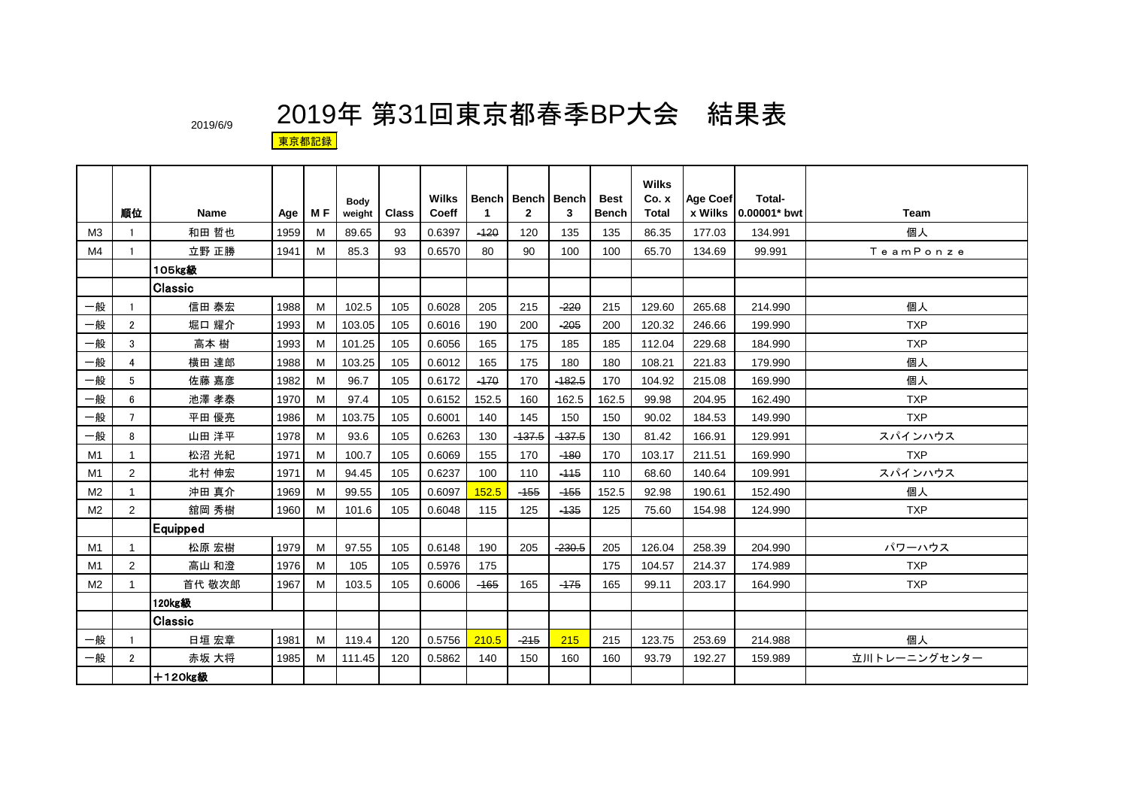|                |                |                |      |     | <b>Body</b> |              | <b>Wilks</b> |        | Bench Bench Bench |          | <b>Best</b>  | <b>Wilks</b><br>Co. x | Age Coef | Total-       |              |
|----------------|----------------|----------------|------|-----|-------------|--------------|--------------|--------|-------------------|----------|--------------|-----------------------|----------|--------------|--------------|
|                | 順位             | <b>Name</b>    | Age  | M F | weight      | <b>Class</b> | Coeff        | -1     | $\overline{2}$    | 3        | <b>Bench</b> | <b>Total</b>          | x Wilks  | 0.00001* bwt | <b>Team</b>  |
| M <sub>3</sub> | $\mathbf{1}$   | 和田 哲也          | 1959 | М   | 89.65       | 93           | 0.6397       | $-120$ | 120               | 135      | 135          | 86.35                 | 177.03   | 134.991      | 個人           |
| M <sub>4</sub> |                | 立野 正勝          | 1941 | M   | 85.3        | 93           | 0.6570       | 80     | 90                | 100      | 100          | 65.70                 | 134.69   | 99.991       | TeamPonze    |
|                |                | 105kg級         |      |     |             |              |              |        |                   |          |              |                       |          |              |              |
|                |                | Classic        |      |     |             |              |              |        |                   |          |              |                       |          |              |              |
| 一般             |                | 信田 泰宏          | 1988 | М   | 102.5       | 105          | 0.6028       | 205    | 215               | $-220$   | 215          | 129.60                | 265.68   | 214.990      | 個人           |
| 一般             | $\overline{2}$ | 堀口 耀介          | 1993 | М   | 103.05      | 105          | 0.6016       | 190    | 200               | $-205$   | 200          | 120.32                | 246.66   | 199.990      | <b>TXP</b>   |
| 一般             | 3              | 高本 樹           | 1993 | М   | 101.25      | 105          | 0.6056       | 165    | 175               | 185      | 185          | 112.04                | 229.68   | 184.990      | <b>TXP</b>   |
| 一般             | 4              | 横田 達郎          | 1988 | м   | 103.25      | 105          | 0.6012       | 165    | 175               | 180      | 180          | 108.21                | 221.83   | 179.990      | 個人           |
| 一般             | 5              | 佐藤 嘉彦          | 1982 | М   | 96.7        | 105          | 0.6172       | $-170$ | 170               | $-182.5$ | 170          | 104.92                | 215.08   | 169.990      | 個人           |
| 一般             | 6              | 池澤 孝泰          | 1970 | M   | 97.4        | 105          | 0.6152       | 152.5  | 160               | 162.5    | 162.5        | 99.98                 | 204.95   | 162.490      | <b>TXP</b>   |
| 一般             | $\overline{7}$ | 平田 優亮          | 1986 | М   | 103.75      | 105          | 0.6001       | 140    | 145               | 150      | 150          | 90.02                 | 184.53   | 149.990      | <b>TXP</b>   |
| 一般             | 8              | 山田 洋平          | 1978 | M   | 93.6        | 105          | 0.6263       | 130    | $-137.5$          | $-437.5$ | 130          | 81.42                 | 166.91   | 129.991      | スパインハウス      |
| M1             | $\mathbf{1}$   | 松沼 光紀          | 1971 | M   | 100.7       | 105          | 0.6069       | 155    | 170               | $-180$   | 170          | 103.17                | 211.51   | 169.990      | <b>TXP</b>   |
| M1             | 2              | 北村 伸宏          | 1971 | М   | 94.45       | 105          | 0.6237       | 100    | 110               | $-415$   | 110          | 68.60                 | 140.64   | 109.991      | スパインハウス      |
| M <sub>2</sub> | $\mathbf{1}$   | 沖田 真介          | 1969 | M   | 99.55       | 105          | 0.6097       | 152.5  | $-155$            | $-155$   | 152.5        | 92.98                 | 190.61   | 152.490      | 個人           |
| M <sub>2</sub> | 2              | 舘岡 秀樹          | 1960 | M   | 101.6       | 105          | 0.6048       | 115    | 125               | $-135$   | 125          | 75.60                 | 154.98   | 124.990      | <b>TXP</b>   |
|                |                | Equipped       |      |     |             |              |              |        |                   |          |              |                       |          |              |              |
| M1             | $\mathbf{1}$   | 松原 宏樹          | 1979 | м   | 97.55       | 105          | 0.6148       | 190    | 205               | $-230.5$ | 205          | 126.04                | 258.39   | 204.990      | パワーハウス       |
| M1             | 2              | 高山 和澄          | 1976 | M   | 105         | 105          | 0.5976       | 175    |                   |          | 175          | 104.57                | 214.37   | 174.989      | <b>TXP</b>   |
| M <sub>2</sub> | -1             | 首代 敬次郎         | 1967 | м   | 103.5       | 105          | 0.6006       | $-165$ | 165               | $-175$   | 165          | 99.11                 | 203.17   | 164.990      | <b>TXP</b>   |
|                |                | 120kg級         |      |     |             |              |              |        |                   |          |              |                       |          |              |              |
|                |                | <b>Classic</b> |      |     |             |              |              |        |                   |          |              |                       |          |              |              |
| 一般             | -1             | 日垣 宏章          | 1981 | м   | 119.4       | 120          | 0.5756       | 210.5  | $-215$            | 215      | 215          | 123.75                | 253.69   | 214.988      | 個人           |
| 一般             | $\overline{2}$ | 赤坂 大将          | 1985 | М   | 111.45      | 120          | 0.5862       | 140    | 150               | 160      | 160          | 93.79                 | 192.27   | 159.989      | 立川トレーニングセンター |
|                |                | +120kg級        |      |     |             |              |              |        |                   |          |              |                       |          |              |              |